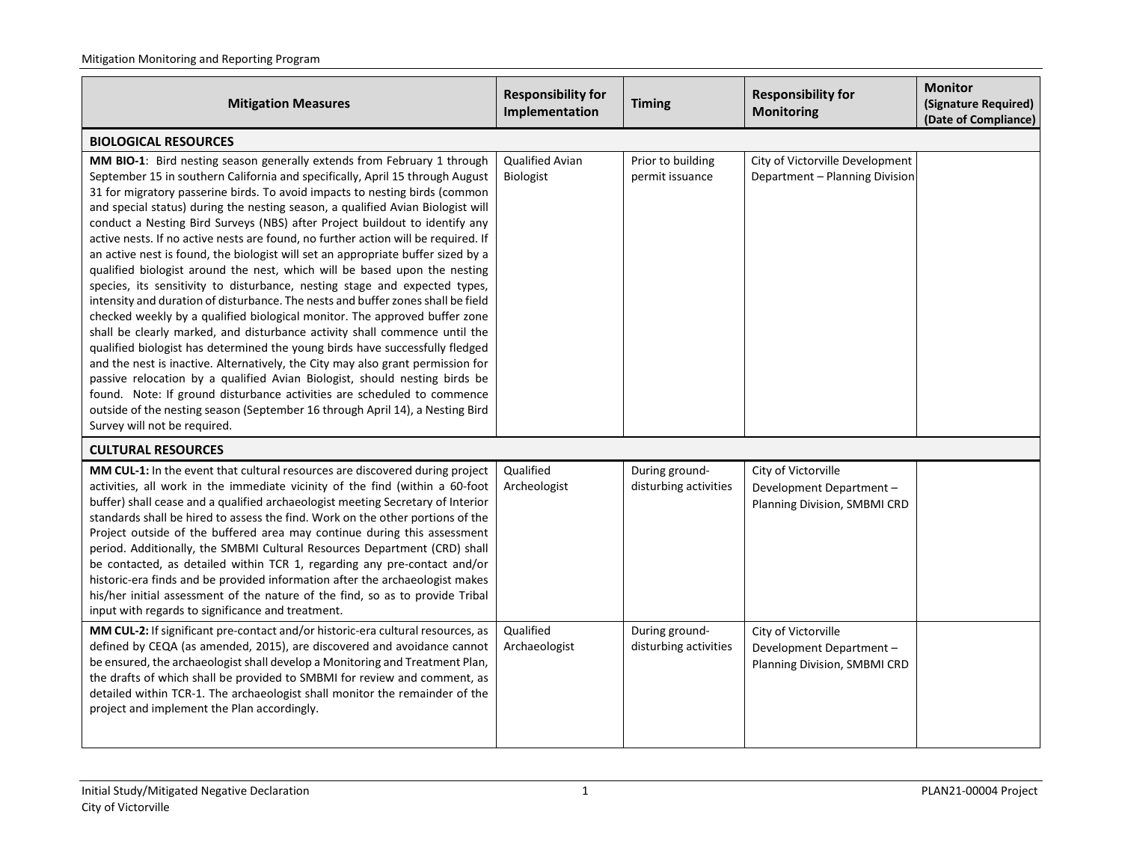| <b>Mitigation Measures</b>                                                                                                                                                                                                                                                                                                                                                                                                                                                                                                                                                                                                                                                                                                                                                                                                                                                                                                                                                                                                                                                                                                                                                                                                                                                                                                                                                                                                                  | <b>Responsibility for</b><br>Implementation | <b>Timing</b>                           | <b>Responsibility for</b><br><b>Monitoring</b>                                  | <b>Monitor</b><br>(Signature Required)<br>(Date of Compliance) |  |  |
|---------------------------------------------------------------------------------------------------------------------------------------------------------------------------------------------------------------------------------------------------------------------------------------------------------------------------------------------------------------------------------------------------------------------------------------------------------------------------------------------------------------------------------------------------------------------------------------------------------------------------------------------------------------------------------------------------------------------------------------------------------------------------------------------------------------------------------------------------------------------------------------------------------------------------------------------------------------------------------------------------------------------------------------------------------------------------------------------------------------------------------------------------------------------------------------------------------------------------------------------------------------------------------------------------------------------------------------------------------------------------------------------------------------------------------------------|---------------------------------------------|-----------------------------------------|---------------------------------------------------------------------------------|----------------------------------------------------------------|--|--|
| <b>BIOLOGICAL RESOURCES</b>                                                                                                                                                                                                                                                                                                                                                                                                                                                                                                                                                                                                                                                                                                                                                                                                                                                                                                                                                                                                                                                                                                                                                                                                                                                                                                                                                                                                                 |                                             |                                         |                                                                                 |                                                                |  |  |
| MM BIO-1: Bird nesting season generally extends from February 1 through<br>September 15 in southern California and specifically, April 15 through August<br>31 for migratory passerine birds. To avoid impacts to nesting birds (common<br>and special status) during the nesting season, a qualified Avian Biologist will<br>conduct a Nesting Bird Surveys (NBS) after Project buildout to identify any<br>active nests. If no active nests are found, no further action will be required. If<br>an active nest is found, the biologist will set an appropriate buffer sized by a<br>qualified biologist around the nest, which will be based upon the nesting<br>species, its sensitivity to disturbance, nesting stage and expected types,<br>intensity and duration of disturbance. The nests and buffer zones shall be field<br>checked weekly by a qualified biological monitor. The approved buffer zone<br>shall be clearly marked, and disturbance activity shall commence until the<br>qualified biologist has determined the young birds have successfully fledged<br>and the nest is inactive. Alternatively, the City may also grant permission for<br>passive relocation by a qualified Avian Biologist, should nesting birds be<br>found. Note: If ground disturbance activities are scheduled to commence<br>outside of the nesting season (September 16 through April 14), a Nesting Bird<br>Survey will not be required. | Qualified Avian<br><b>Biologist</b>         | Prior to building<br>permit issuance    | City of Victorville Development<br>Department - Planning Division               |                                                                |  |  |
| <b>CULTURAL RESOURCES</b>                                                                                                                                                                                                                                                                                                                                                                                                                                                                                                                                                                                                                                                                                                                                                                                                                                                                                                                                                                                                                                                                                                                                                                                                                                                                                                                                                                                                                   |                                             |                                         |                                                                                 |                                                                |  |  |
| MM CUL-1: In the event that cultural resources are discovered during project<br>activities, all work in the immediate vicinity of the find (within a 60-foot<br>buffer) shall cease and a qualified archaeologist meeting Secretary of Interior<br>standards shall be hired to assess the find. Work on the other portions of the<br>Project outside of the buffered area may continue during this assessment<br>period. Additionally, the SMBMI Cultural Resources Department (CRD) shall<br>be contacted, as detailed within TCR 1, regarding any pre-contact and/or<br>historic-era finds and be provided information after the archaeologist makes<br>his/her initial assessment of the nature of the find, so as to provide Tribal<br>input with regards to significance and treatment.                                                                                                                                                                                                                                                                                                                                                                                                                                                                                                                                                                                                                                                | Qualified<br>Archeologist                   | During ground-<br>disturbing activities | City of Victorville<br>Development Department-<br>Planning Division, SMBMI CRD  |                                                                |  |  |
| MM CUL-2: If significant pre-contact and/or historic-era cultural resources, as<br>defined by CEQA (as amended, 2015), are discovered and avoidance cannot<br>be ensured, the archaeologist shall develop a Monitoring and Treatment Plan,<br>the drafts of which shall be provided to SMBMI for review and comment, as<br>detailed within TCR-1. The archaeologist shall monitor the remainder of the<br>project and implement the Plan accordingly.                                                                                                                                                                                                                                                                                                                                                                                                                                                                                                                                                                                                                                                                                                                                                                                                                                                                                                                                                                                       | Qualified<br>Archaeologist                  | During ground-<br>disturbing activities | City of Victorville<br>Development Department -<br>Planning Division, SMBMI CRD |                                                                |  |  |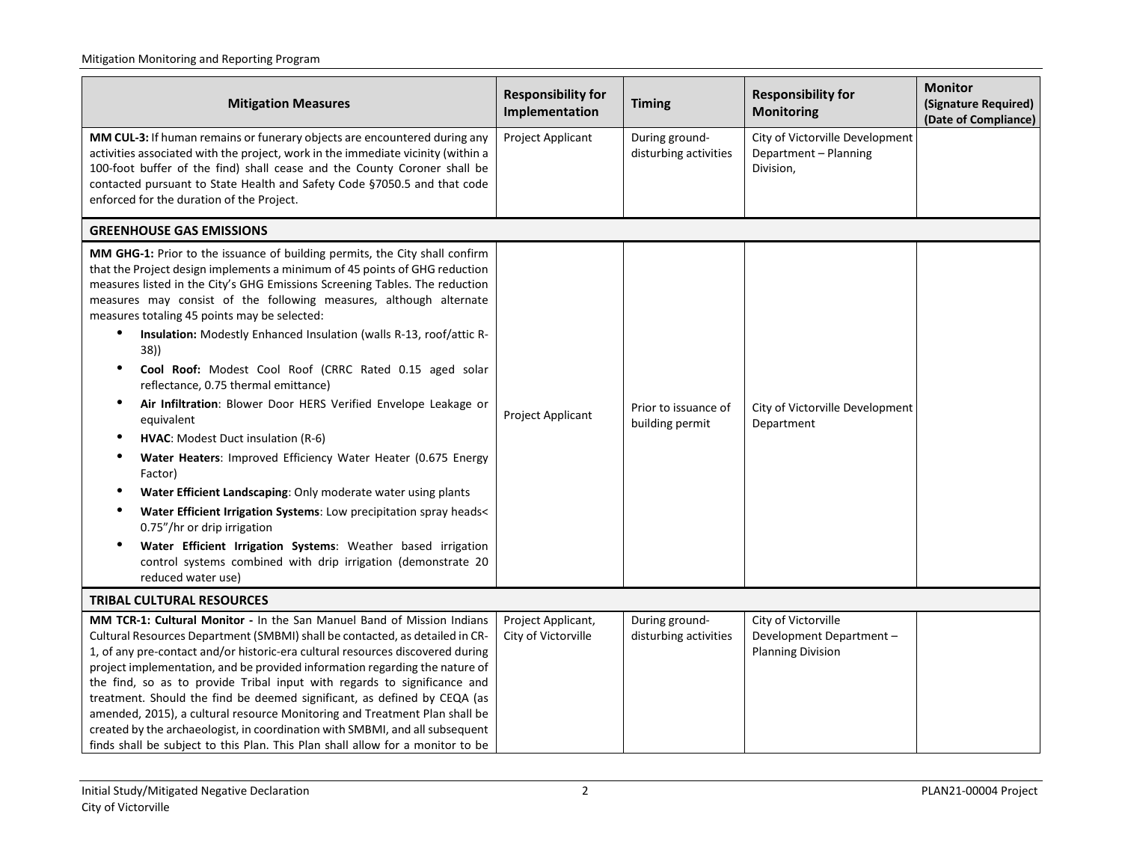| <b>Mitigation Measures</b>                                                                                                                                                                                                                                                                                                                                                                                                                                                                                                                                                                                                                                                                                                                                                                                                                                                                                                                                                                                                                                                                                | <b>Responsibility for</b><br>Implementation | <b>Timing</b>                           | <b>Responsibility for</b><br><b>Monitoring</b>                             | <b>Monitor</b><br>(Signature Required)<br>(Date of Compliance) |
|-----------------------------------------------------------------------------------------------------------------------------------------------------------------------------------------------------------------------------------------------------------------------------------------------------------------------------------------------------------------------------------------------------------------------------------------------------------------------------------------------------------------------------------------------------------------------------------------------------------------------------------------------------------------------------------------------------------------------------------------------------------------------------------------------------------------------------------------------------------------------------------------------------------------------------------------------------------------------------------------------------------------------------------------------------------------------------------------------------------|---------------------------------------------|-----------------------------------------|----------------------------------------------------------------------------|----------------------------------------------------------------|
| MM CUL-3: If human remains or funerary objects are encountered during any<br>activities associated with the project, work in the immediate vicinity (within a<br>100-foot buffer of the find) shall cease and the County Coroner shall be<br>contacted pursuant to State Health and Safety Code §7050.5 and that code<br>enforced for the duration of the Project.                                                                                                                                                                                                                                                                                                                                                                                                                                                                                                                                                                                                                                                                                                                                        | Project Applicant                           | During ground-<br>disturbing activities | City of Victorville Development<br>Department - Planning<br>Division,      |                                                                |
| <b>GREENHOUSE GAS EMISSIONS</b>                                                                                                                                                                                                                                                                                                                                                                                                                                                                                                                                                                                                                                                                                                                                                                                                                                                                                                                                                                                                                                                                           |                                             |                                         |                                                                            |                                                                |
| MM GHG-1: Prior to the issuance of building permits, the City shall confirm<br>that the Project design implements a minimum of 45 points of GHG reduction<br>measures listed in the City's GHG Emissions Screening Tables. The reduction<br>measures may consist of the following measures, although alternate<br>measures totaling 45 points may be selected:<br>Insulation: Modestly Enhanced Insulation (walls R-13, roof/attic R-<br>$\bullet$<br>38)<br>Cool Roof: Modest Cool Roof (CRRC Rated 0.15 aged solar<br>reflectance, 0.75 thermal emittance)<br>Air Infiltration: Blower Door HERS Verified Envelope Leakage or<br>equivalent<br>HVAC: Modest Duct insulation (R-6)<br>$\bullet$<br>Water Heaters: Improved Efficiency Water Heater (0.675 Energy<br>Factor)<br>Water Efficient Landscaping: Only moderate water using plants<br>Water Efficient Irrigation Systems: Low precipitation spray heads<<br>0.75"/hr or drip irrigation<br>Water Efficient Irrigation Systems: Weather based irrigation<br>control systems combined with drip irrigation (demonstrate 20<br>reduced water use) | Project Applicant                           | Prior to issuance of<br>building permit | City of Victorville Development<br>Department                              |                                                                |
| <b>TRIBAL CULTURAL RESOURCES</b>                                                                                                                                                                                                                                                                                                                                                                                                                                                                                                                                                                                                                                                                                                                                                                                                                                                                                                                                                                                                                                                                          |                                             |                                         |                                                                            |                                                                |
| MM TCR-1: Cultural Monitor - In the San Manuel Band of Mission Indians<br>Cultural Resources Department (SMBMI) shall be contacted, as detailed in CR-<br>1, of any pre-contact and/or historic-era cultural resources discovered during<br>project implementation, and be provided information regarding the nature of<br>the find, so as to provide Tribal input with regards to significance and<br>treatment. Should the find be deemed significant, as defined by CEQA (as<br>amended, 2015), a cultural resource Monitoring and Treatment Plan shall be<br>created by the archaeologist, in coordination with SMBMI, and all subsequent<br>finds shall be subject to this Plan. This Plan shall allow for a monitor to be                                                                                                                                                                                                                                                                                                                                                                           | Project Applicant,<br>City of Victorville   | During ground-<br>disturbing activities | City of Victorville<br>Development Department-<br><b>Planning Division</b> |                                                                |